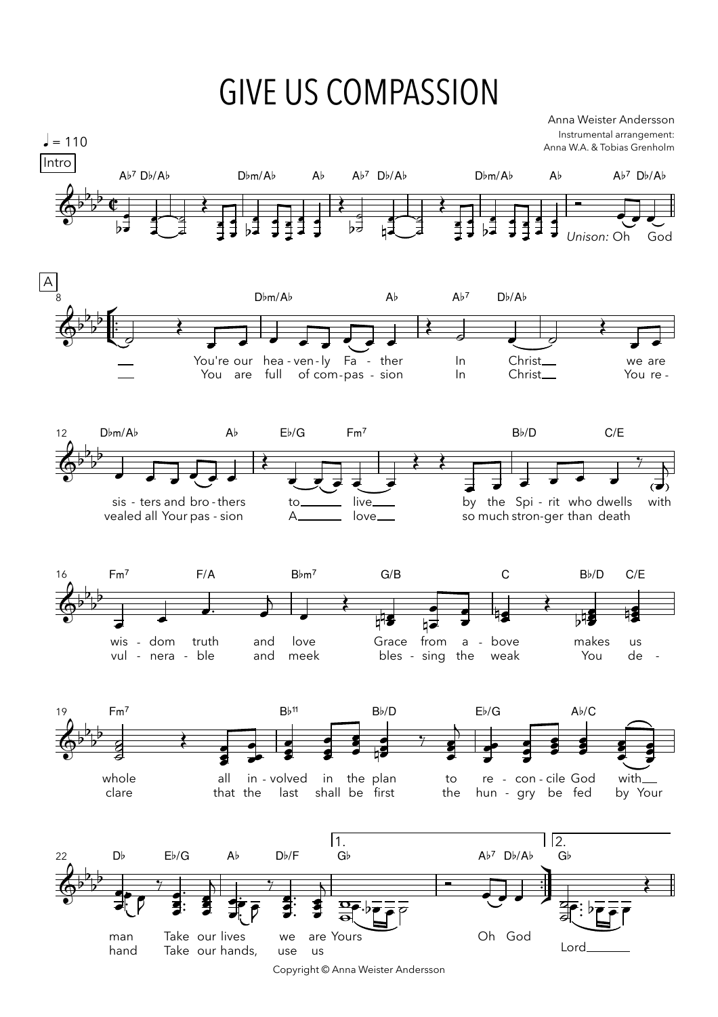## **GIVE US COMPASSION**